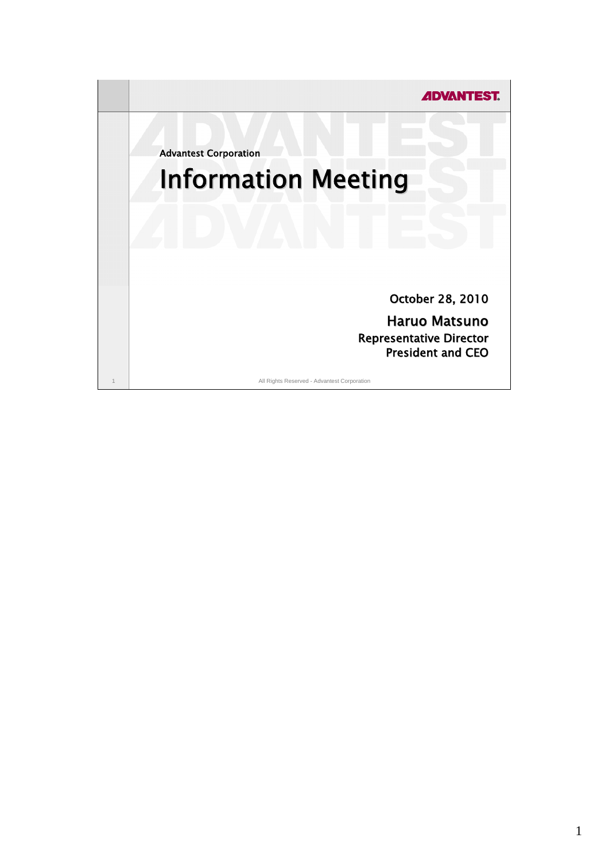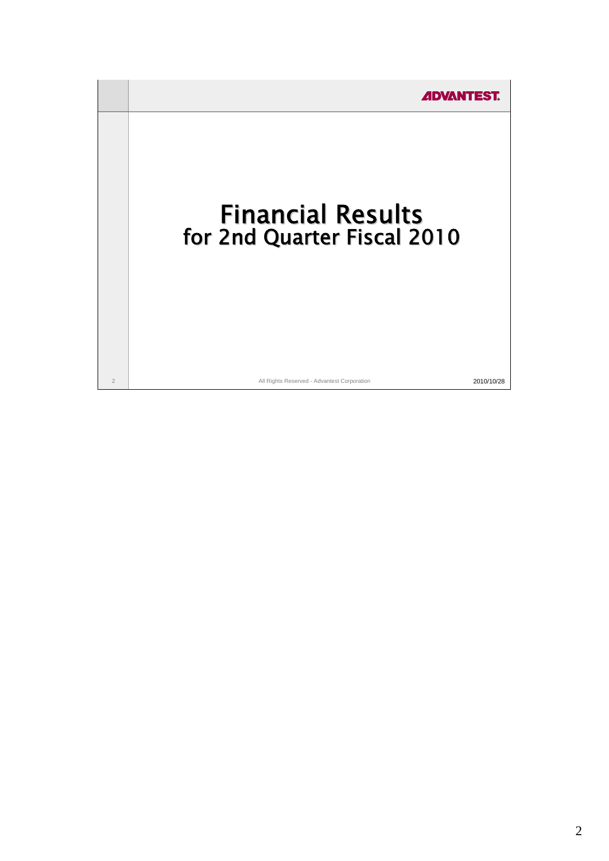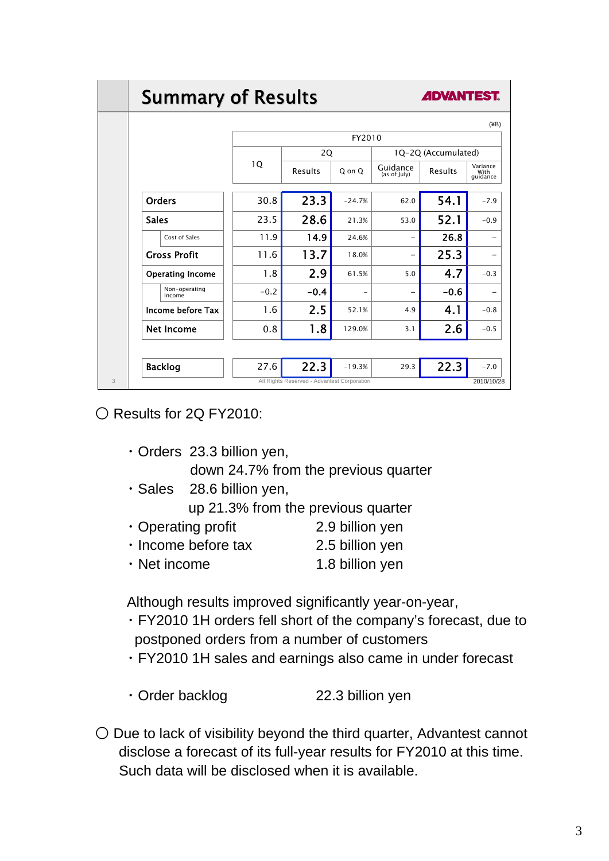# **Summary of Results**

**ADVANTES** 

|                         | FY2010 |                                             |                   |                          |         |                              |
|-------------------------|--------|---------------------------------------------|-------------------|--------------------------|---------|------------------------------|
|                         | 1Q     | 2Q                                          |                   | 1Q-2Q (Accumulated)      |         |                              |
|                         |        | Results                                     | Q on Q            | Guidance<br>(as of July) | Results | Variance<br>With<br>quidance |
| <b>Orders</b>           | 30.8   | 23.3                                        | $-24.7%$          | 62.0                     | 54.1    | $-7.9$                       |
| <b>Sales</b>            | 23.5   | 28.6                                        | 21.3%             | 53.0                     | 52.1    | $-0.9$                       |
| Cost of Sales           | 11.9   | 14.9                                        | 24.6%             |                          | 26.8    |                              |
| <b>Gross Profit</b>     | 11.6   | 13.7                                        | 18.0%             |                          | 25.3    |                              |
| <b>Operating Income</b> | 1.8    | 2.9                                         | 61.5%             | 5.0                      | 4.7     | $-0.3$                       |
| Non-operating<br>Income | $-0.2$ | $-0.4$                                      | $\qquad \qquad -$ |                          | $-0.6$  |                              |
| Income before Tax       | 1.6    | 2.5                                         | 52.1%             | 4.9                      | 4.1     | $-0.8$                       |
| <b>Net Income</b>       | 0.8    | 1.8                                         | 129.0%            | 3.1                      | 2.6     | $-0.5$                       |
|                         |        |                                             |                   |                          |         |                              |
| <b>Backlog</b>          | 27.6   | 22.3                                        | $-19.3%$          | 29.3                     | 22.3    | $-7.0$                       |
|                         |        | All Rights Reserved - Advantest Corporation |                   |                          |         | 2010/10/28                   |

○ Results for 2Q FY2010:

- ・Orders 23.3 billion yen, down 24.7% from the previous quarter
- ・Sales 28.6 billion yen,

up 21.3% from the previous quarter

- ・Operating profit 2.9 billion yen
- ・Income before tax 2.5 billion yen
- Net income 1.8 billion yen

Although results improved significantly year-on-year,

- ・FY2010 1H orders fell short of the company's forecast, due to postponed orders from a number of customers
- ・FY2010 1H sales and earnings also came in under forecast
- ・Order backlog 22.3 billion yen
- $\bigcirc$  Due to lack of visibility beyond the third quarter, Advantest cannot disclose a forecast of its full-year results for FY2010 at this time. Such data will be disclosed when it is available.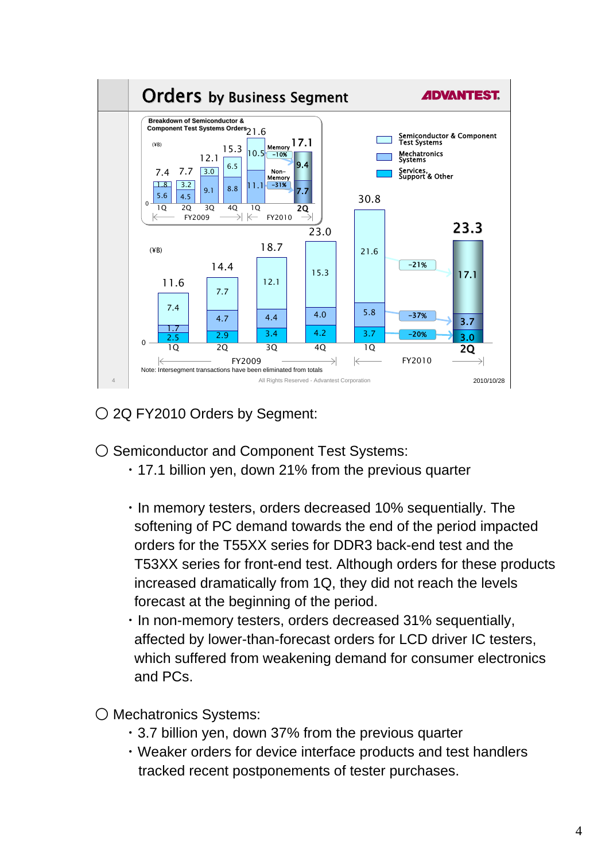

○ 2Q FY2010 Orders by Segment:

- Semiconductor and Component Test Systems:
	- ・17.1 billion yen, down 21% from the previous quarter
	- ・In memory testers, orders decreased 10% sequentially. The softening of PC demand towards the end of the period impacted orders for the T55XX series for DDR3 back-end test and the T53XX series for front-end test. Although orders for these products increased dramatically from 1Q, they did not reach the levels forecast at the beginning of the period.
	- ・In non-memory testers, orders decreased 31% sequentially, affected by lower-than-forecast orders for LCD driver IC testers, which suffered from weakening demand for consumer electronics and PCs.
- Mechatronics Systems:
	- ・3.7 billion yen, down 37% from the previous quarter
	- ・Weaker orders for device interface products and test handlers tracked recent postponements of tester purchases.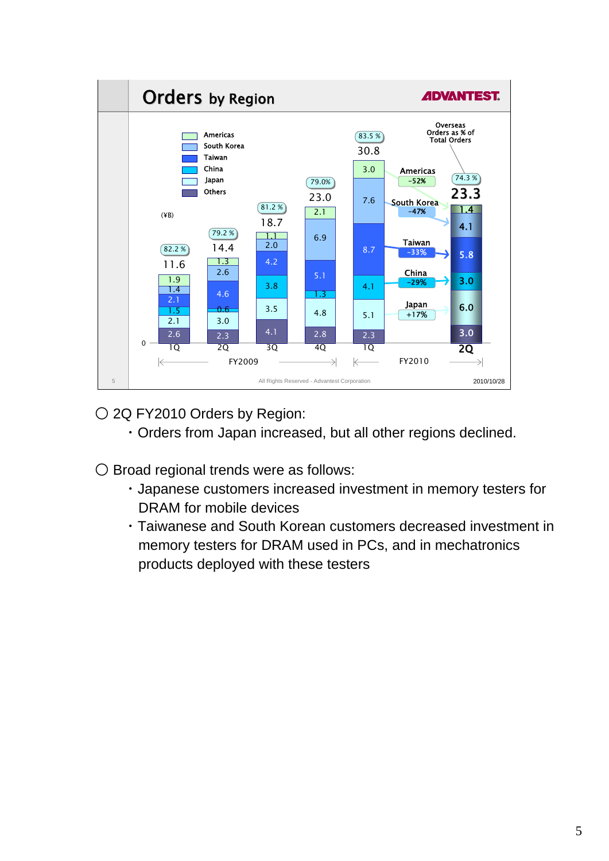

○ 2Q FY2010 Orders by Region:

- ・Orders from Japan increased, but all other regions declined.
- Broad regional trends were as follows:
	- ・Japanese customers increased investment in memory testers for DRAM for mobile devices
	- ・Taiwanese and South Korean customers decreased investment in memory testers for DRAM used in PCs, and in mechatronics products deployed with these testers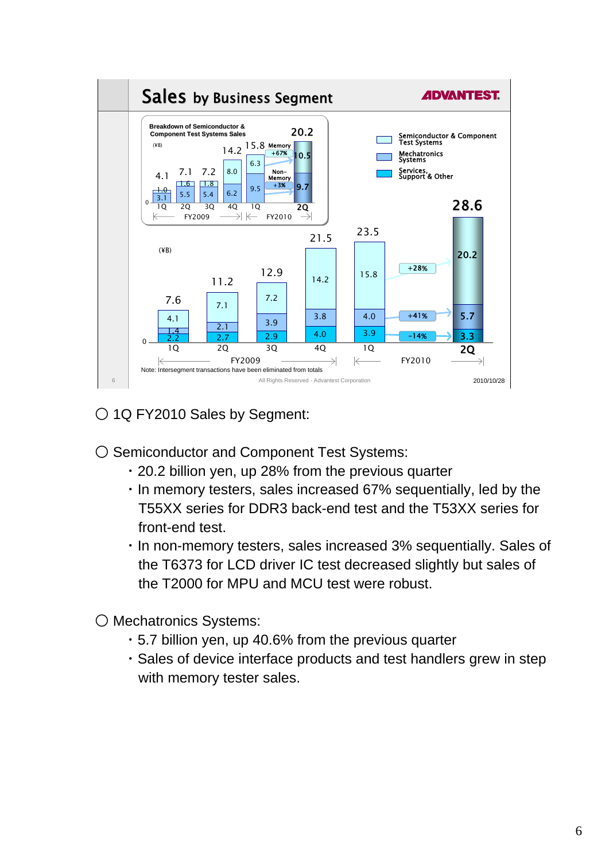

○ 1Q FY2010 Sales by Segment:

○ Semiconductor and Component Test Systems:

- ・20.2 billion yen, up 28% from the previous quarter
- ・In memory testers, sales increased 67% sequentially, led by the T55XX series for DDR3 back-end test and the T53XX series for front-end test.
- ・In non-memory testers, sales increased 3% sequentially. Sales of the T6373 for LCD driver IC test decreased slightly but sales of the T2000 for MPU and MCU test were robust.
- Mechatronics Systems:
	- ・5.7 billion yen, up 40.6% from the previous quarter
	- ・Sales of device interface products and test handlers grew in step with memory tester sales.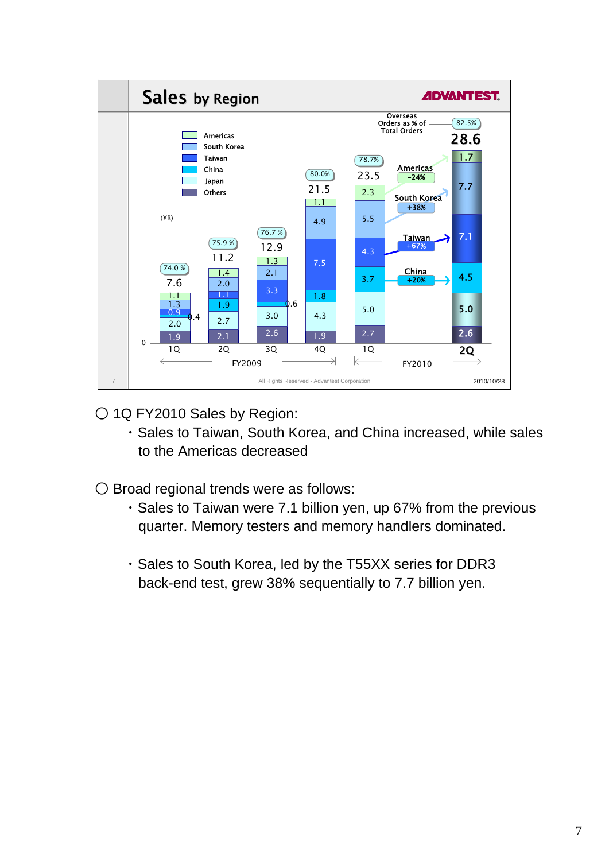

○ 1Q FY2010 Sales by Region:

- ・Sales to Taiwan, South Korea, and China increased, while sales to the Americas decreased
- Broad regional trends were as follows:
	- ・Sales to Taiwan were 7.1 billion yen, up 67% from the previous quarter. Memory testers and memory handlers dominated.
	- ・Sales to South Korea, led by the T55XX series for DDR3 back-end test, grew 38% sequentially to 7.7 billion yen.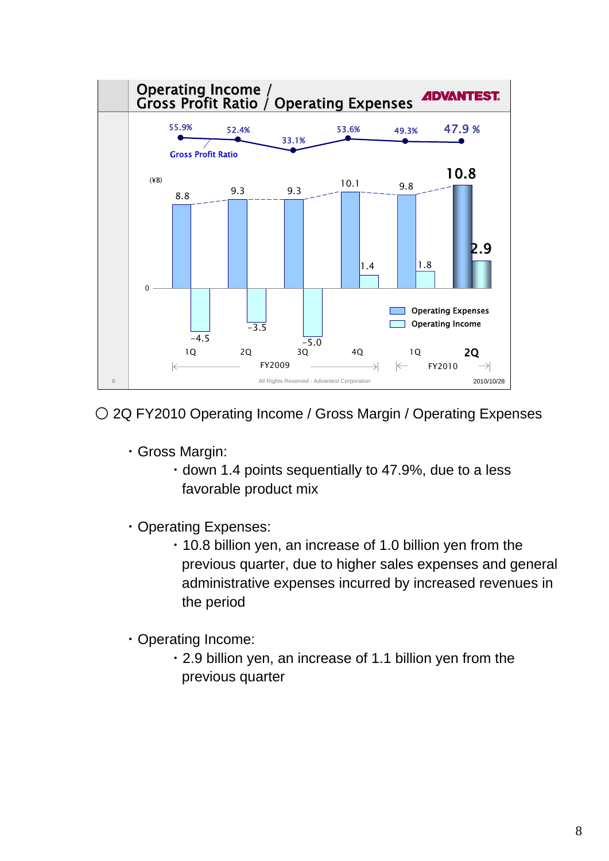

○ 2Q FY2010 Operating Income / Gross Margin / Operating Expenses

- ・Gross Margin:
	- ・down 1.4 points sequentially to 47.9%, due to a less favorable product mix
- ・Operating Expenses:
	- ・10.8 billion yen, an increase of 1.0 billion yen from the previous quarter, due to higher sales expenses and general administrative expenses incurred by increased revenues in the period
- ・Operating Income:
	- ・2.9 billion yen, an increase of 1.1 billion yen from the previous quarter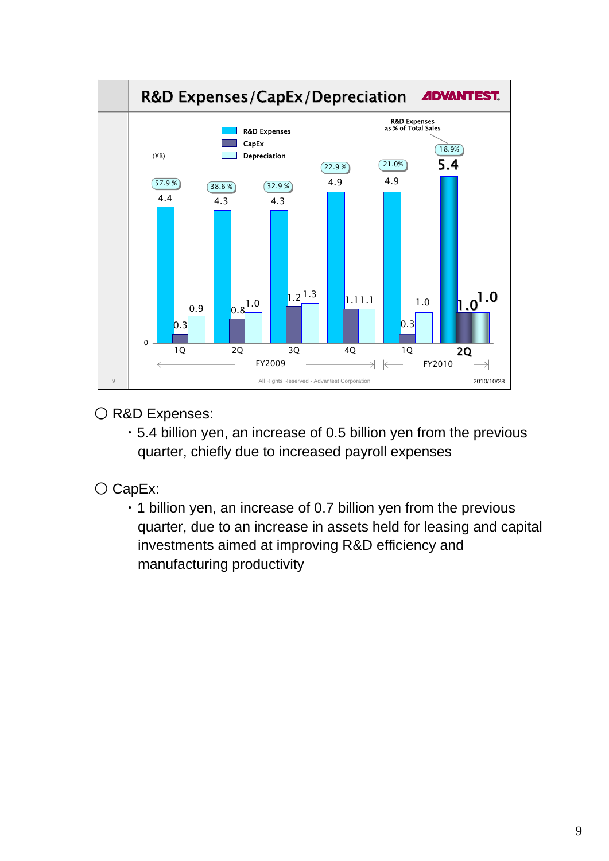

## O R&D Expenses:

・5.4 billion yen, an increase of 0.5 billion yen from the previous quarter, chiefly due to increased payroll expenses

## ○ CapEx:

・1 billion yen, an increase of 0.7 billion yen from the previous quarter, due to an increase in assets held for leasing and capital investments aimed at improving R&D efficiency and manufacturing productivity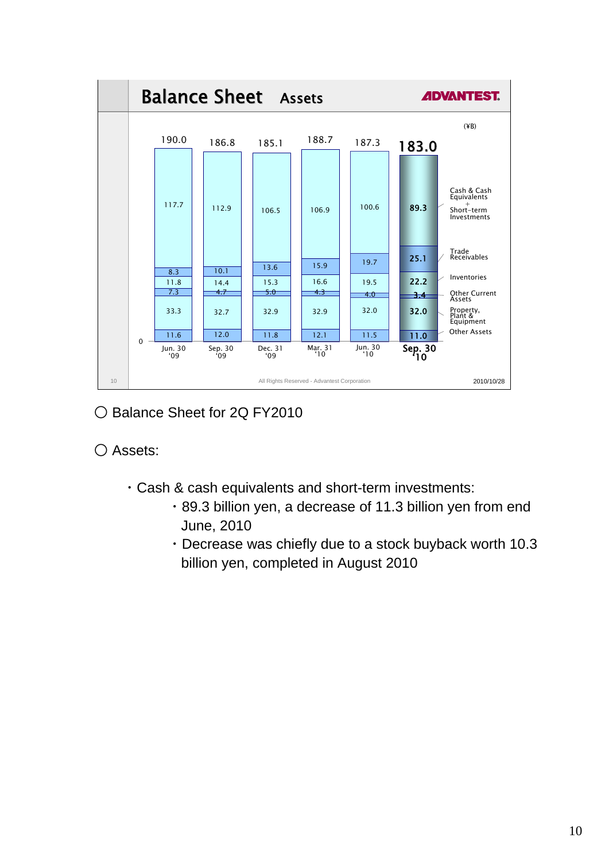

○ Balance Sheet for 2Q FY2010

○ Assets:

- ・Cash & cash equivalents and short-term investments:
	- ・89.3 billion yen, a decrease of 11.3 billion yen from end June, 2010
	- ・Decrease was chiefly due to a stock buyback worth 10.3 billion yen, completed in August 2010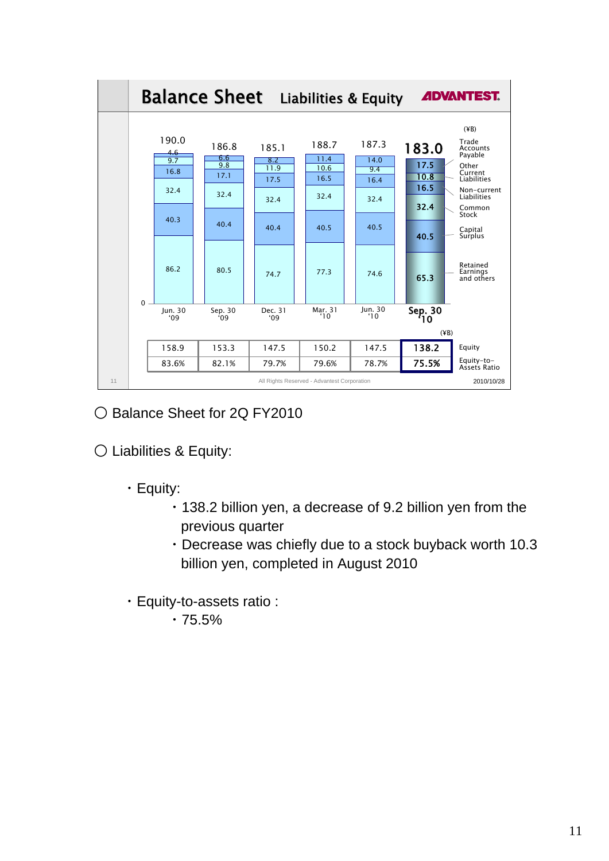

○ Balance Sheet for 2Q FY2010

○ Liabilities & Equity:

- ・Equity:
	- ・138.2 billion yen, a decrease of 9.2 billion yen from the previous quarter
	- ・Decrease was chiefly due to a stock buyback worth 10.3 billion yen, completed in August 2010
- ・Equity-to-assets ratio :
	- $.75.5%$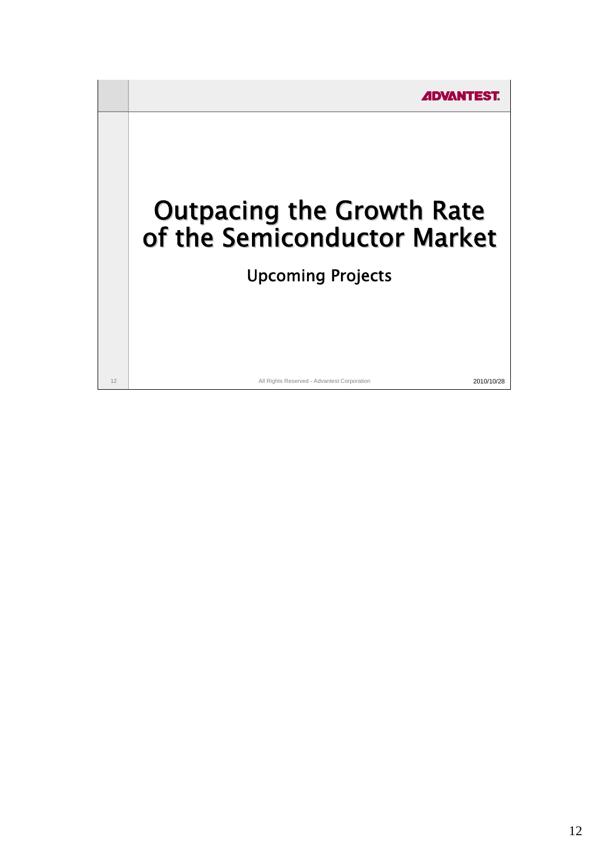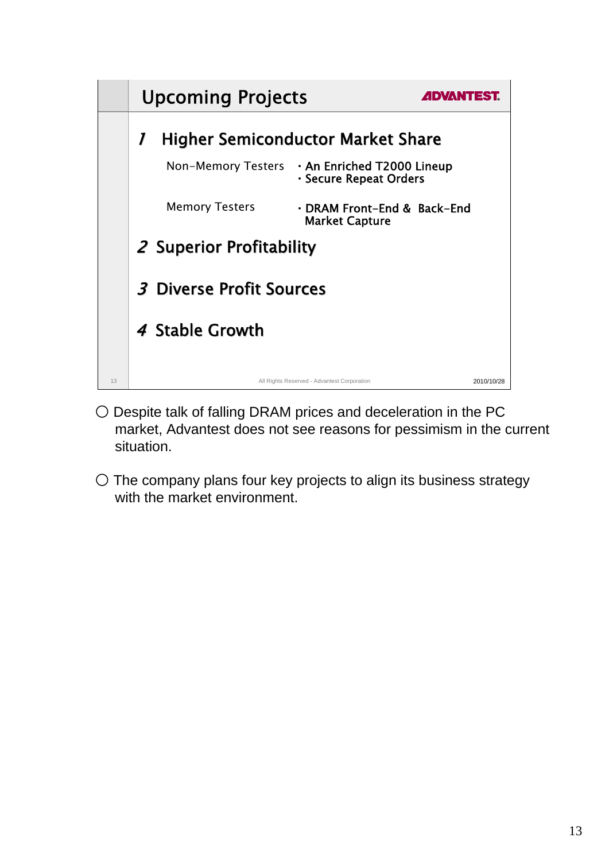

- Despite talk of falling DRAM prices and deceleration in the PC market, Advantest does not see reasons for pessimism in the current situation.
- The company plans four key projects to align its business strategy with the market environment.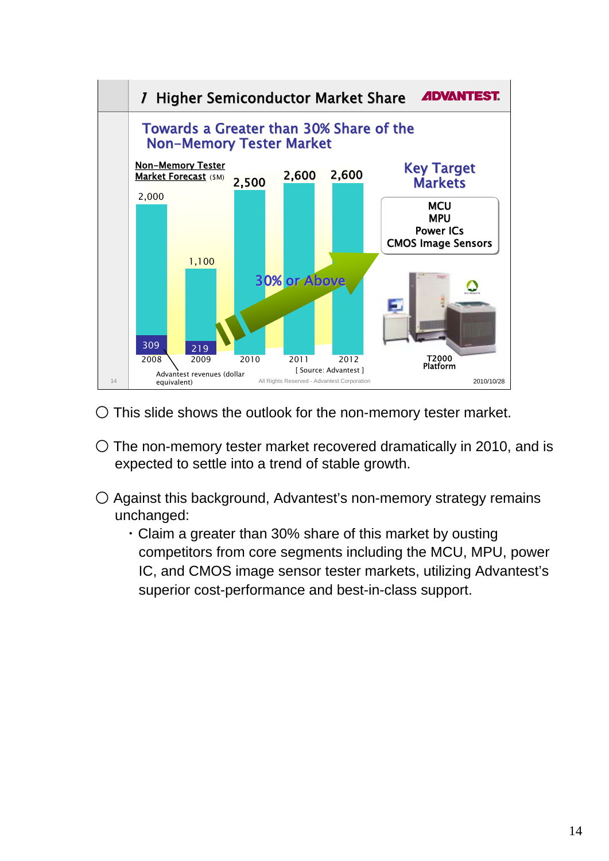

- This slide shows the outlook for the non-memory tester market.
- $\circ$  The non-memory tester market recovered dramatically in 2010, and is expected to settle into a trend of stable growth.
- Against this background, Advantest's non-memory strategy remains unchanged:
	- ・Claim a greater than 30% share of this market by ousting competitors from core segments including the MCU, MPU, power IC, and CMOS image sensor tester markets, utilizing Advantest's superior cost-performance and best-in-class support.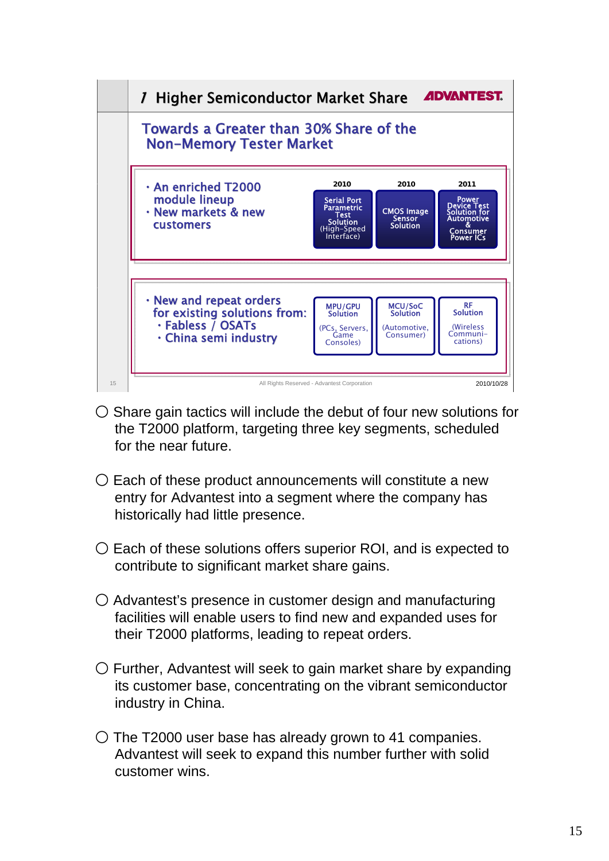

- $\bigcirc$  Share gain tactics will include the debut of four new solutions for the T2000 platform, targeting three key segments, scheduled for the near future.
- $\bigcirc$  Each of these product announcements will constitute a new entry for Advantest into a segment where the company has historically had little presence.
- $\circ$  Each of these solutions offers superior ROI, and is expected to contribute to significant market share gains.
- Advantest's presence in customer design and manufacturing facilities will enable users to find new and expanded uses for their T2000 platforms, leading to repeat orders.
- $\circlearrowright$  Further, Advantest will seek to gain market share by expanding its customer base, concentrating on the vibrant semiconductor industry in China.
- $\circ$  The T2000 user base has already grown to 41 companies. Advantest will seek to expand this number further with solid customer wins.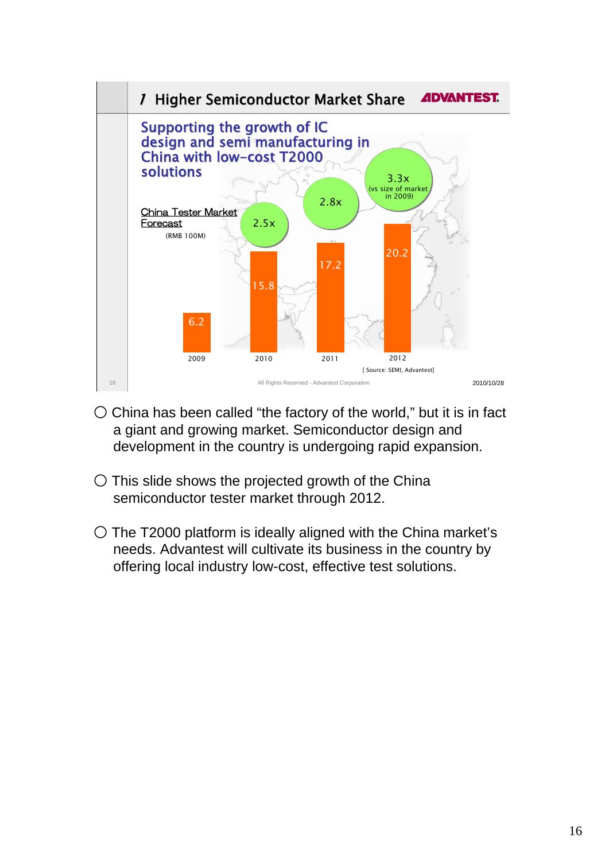

- $\circ$  China has been called "the factory of the world," but it is in fact a giant and growing market. Semiconductor design and development in the country is undergoing rapid expansion.
- $\circ$  This slide shows the projected growth of the China semiconductor tester market through 2012.
- The T2000 platform is ideally aligned with the China market's needs. Advantest will cultivate its business in the country by offering local industry low-cost, effective test solutions.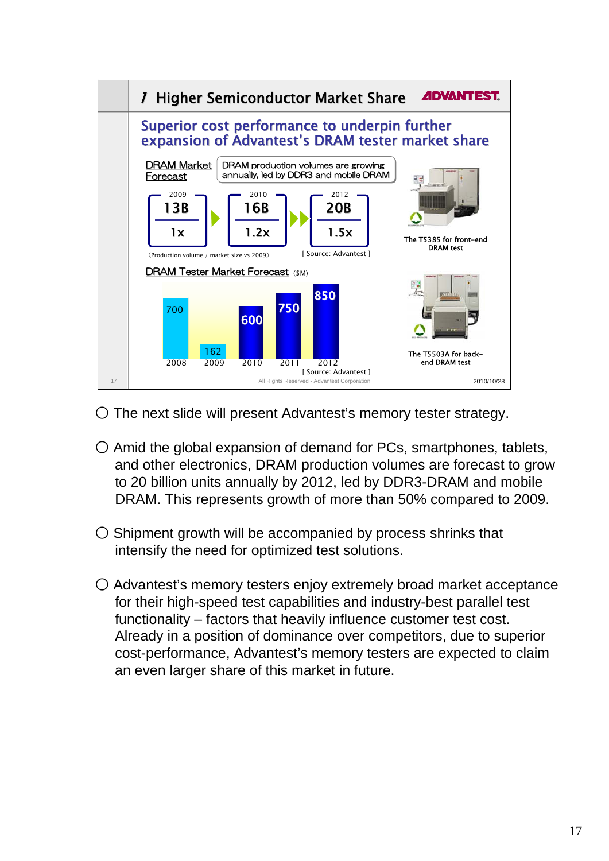

- The next slide will present Advantest's memory tester strategy.
- $\bigcirc$  Amid the global expansion of demand for PCs, smartphones, tablets, and other electronics, DRAM production volumes are forecast to grow to 20 billion units annually by 2012, led by DDR3-DRAM and mobile DRAM. This represents growth of more than 50% compared to 2009.
- $\bigcirc$  Shipment growth will be accompanied by process shrinks that intensify the need for optimized test solutions.
- Advantest's memory testers enjoy extremely broad market acceptance for their high-speed test capabilities and industry-best parallel test functionality – factors that heavily influence customer test cost. Already in a position of dominance over competitors, due to superior cost-performance, Advantest's memory testers are expected to claim an even larger share of this market in future.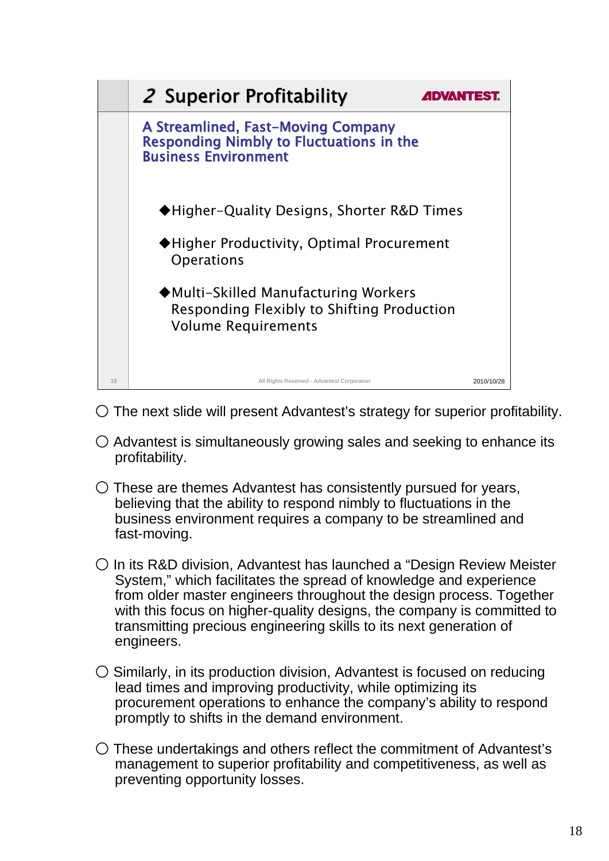

- $\circ$  The next slide will present Advantest's strategy for superior profitability.
- $\bigcirc$  Advantest is simultaneously growing sales and seeking to enhance its profitability.
- $\bigcirc$  These are themes Advantest has consistently pursued for years, believing that the ability to respond nimbly to fluctuations in the business environment requires a company to be streamlined and fast-moving.
- In its R&D division, Advantest has launched a "Design Review Meister System," which facilitates the spread of knowledge and experience from older master engineers throughout the design process. Together with this focus on higher-quality designs, the company is committed to transmitting precious engineering skills to its next generation of engineers.
- $\circ$  Similarly, in its production division, Advantest is focused on reducing lead times and improving productivity, while optimizing its procurement operations to enhance the company's ability to respond promptly to shifts in the demand environment.
- These undertakings and others reflect the commitment of Advantest's management to superior profitability and competitiveness, as well as preventing opportunity losses.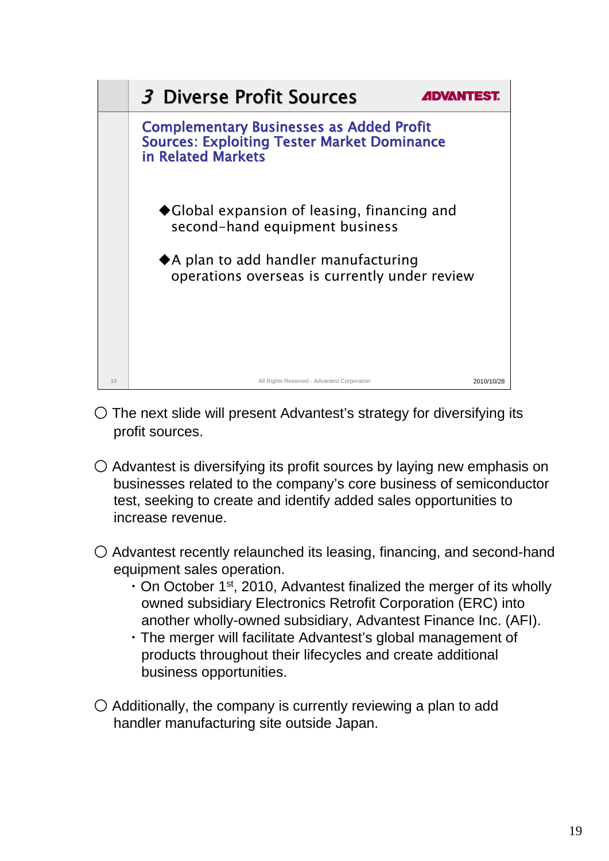

- $\circ$  The next slide will present Advantest's strategy for diversifying its profit sources.
- $\bigcirc$  Advantest is diversifying its profit sources by laying new emphasis on businesses related to the company's core business of semiconductor test, seeking to create and identify added sales opportunities to increase revenue.
- $\bigcirc$  Advantest recently relaunched its leasing, financing, and second-hand equipment sales operation.
	- $\cdot$  On October 1<sup>st</sup>, 2010, Advantest finalized the merger of its wholly owned subsidiary Electronics Retrofit Corporation (ERC) into another wholly-owned subsidiary, Advantest Finance Inc. (AFI).
	- ・The merger will facilitate Advantest's global management of products throughout their lifecycles and create additional business opportunities.
- $\bigcirc$  Additionally, the company is currently reviewing a plan to add handler manufacturing site outside Japan.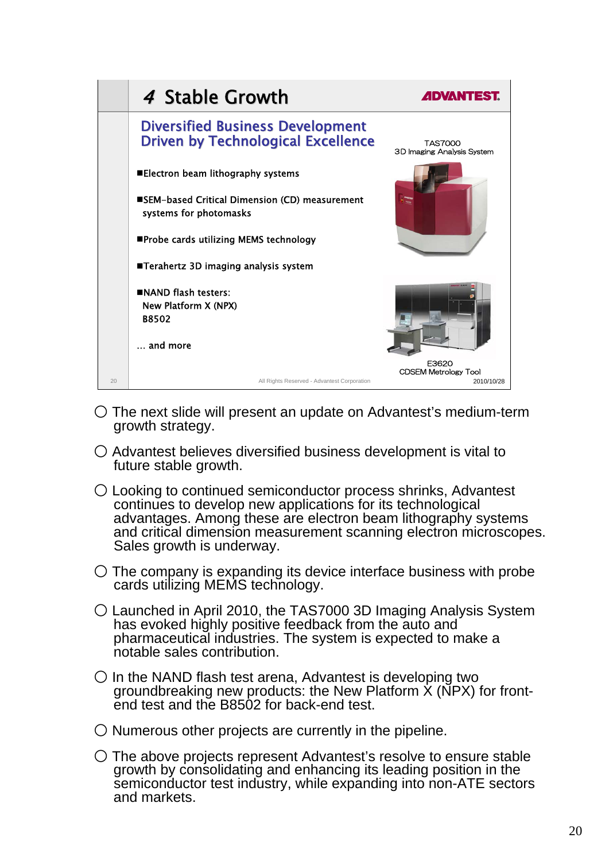

- The next slide will present an update on Advantest's medium-term growth strategy.
- Advantest believes diversified business development is vital to future stable growth.
- Looking to continued semiconductor process shrinks, Advantest continues to develop new applications for its technological advantages. Among these are electron beam lithography systems and critical dimension measurement scanning electron microscopes. Sales growth is underway.
- $\circ$  The company is expanding its device interface business with probe cards utilizing MEMS technology.
- Launched in April 2010, the TAS7000 3D Imaging Analysis System has evoked highly positive feedback from the auto and pharmaceutical industries. The system is expected to make a notable sales contribution.
- $\bigcirc$  In the NAND flash test arena, Advantest is developing two groundbreaking new products: the New Platform  $\dot{x}$  (NPX) for frontend test and the B8502 for back-end test.
- $\bigcirc$  Numerous other projects are currently in the pipeline.
- The above projects represent Advantest's resolve to ensure stable growth by consolidating and enhancing its leading position in the semiconductor test industry, while expanding into non-ATE sectors and markets.